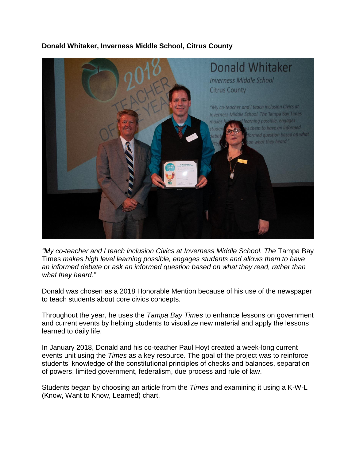## **Donald Whitaker, Inverness Middle School, Citrus County**



*"My co-teacher and I teach inclusion Civics at Inverness Middle School. The* Tampa Bay Times *makes high level learning possible, engages students and allows them to have an informed debate or ask an informed question based on what they read, rather than what they heard."*

Donald was chosen as a 2018 Honorable Mention because of his use of the newspaper to teach students about core civics concepts.

Throughout the year, he uses the *Tampa Bay Times* to enhance lessons on government and current events by helping students to visualize new material and apply the lessons learned to daily life.

In January 2018, Donald and his co-teacher Paul Hoyt created a week-long current events unit using the *Times* as a key resource. The goal of the project was to reinforce students' knowledge of the constitutional principles of checks and balances, separation of powers, limited government, federalism, due process and rule of law.

Students began by choosing an article from the *Times* and examining it using a K-W-L (Know, Want to Know, Learned) chart.